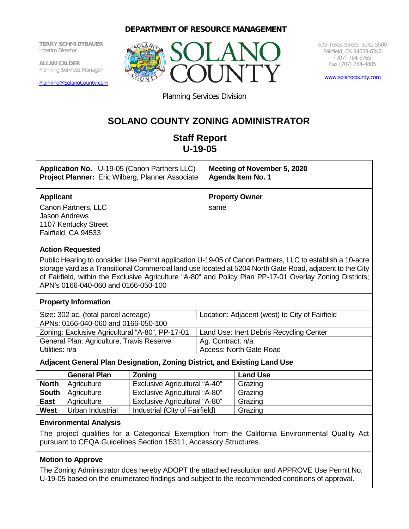# **DEPARTMENT OF RESOURCE MANAGEMENT**

**TERRY SCHMIDTBAUER** Interim Director

**ALLAN CALDER** Planning Services Manager

[Planning@SolanoCounty.com](mailto:Planning@SolanoCounty.com)



675 Texas Street, Suite 5500 Fairfield, CA 94533-6342 (707) 784-6765 Fax (707) 784-4805

[www.solanocounty.com](http://www.solanocounty.com/)

Planning Services Division

# **SOLANO COUNTY ZONING ADMINISTRATOR**

# **Staff Report U-19-05**

| <b>Application No.</b> U-19-05 (Canon Partners LLC)                                                            | Meeting of November 5, 2020   |
|----------------------------------------------------------------------------------------------------------------|-------------------------------|
| Project Planner: Eric Wilberg, Planner Associate                                                               | Agenda Item No. 1             |
| <b>Applicant</b><br>Canon Partners, LLC<br><b>Jason Andrews</b><br>1107 Kentucky Street<br>Fairfield, CA 94533 | <b>Property Owner</b><br>same |

#### **Action Requested**

Public Hearing to consider Use Permit application U-19-05 of Canon Partners, LLC to establish a 10-acre storage yard as a Transitional Commercial land use located at 5204 North Gate Road, adjacent to the City of Fairfield, within the Exclusive Agriculture "A-80" and Policy Plan PP-17-01 Overlay Zoning Districts; APN's 0166-040-060 and 0166-050-100

#### **Property Information**

| Size: 302 ac. (total parcel acreage)            | Location: Adjacent (west) to City of Fairfield |
|-------------------------------------------------|------------------------------------------------|
| APNs: 0166-040-060 and 0166-050-100             |                                                |
| Zoning: Exclusive Agricultural "A-80", PP-17-01 | Land Use: Inert Debris Recycling Center        |
| General Plan: Agriculture, Travis Reserve       | Ag. Contract: n/a                              |
| Utilities: n/a                                  | <b>Access: North Gate Road</b>                 |
|                                                 |                                                |

#### **Adjacent General Plan Designation, Zoning District, and Existing Land Use**

|              | <b>General Plan</b> | <b>Zoning</b>                        | <b>Land Use</b> |
|--------------|---------------------|--------------------------------------|-----------------|
| <b>North</b> | Agriculture         | <b>Exclusive Agricultural "A-40"</b> | Grazing         |
| <b>South</b> | Agriculture         | <b>Exclusive Agricultural "A-80"</b> | Grazing         |
| <b>East</b>  | Agriculture         | <b>Exclusive Agricultural "A-80"</b> | Grazing         |
| <b>West</b>  | Urban Industrial    | Industrial (City of Fairfield)       | Grazing         |

#### **Environmental Analysis**

The project qualifies for a Categorical Exemption from the California Environmental Quality Act pursuant to CEQA Guidelines Section 15311, Accessory Structures.

#### **Motion to Approve**

The Zoning Administrator does hereby ADOPT the attached resolution and APPROVE Use Permit No. U-19-05 based on the enumerated findings and subject to the recommended conditions of approval.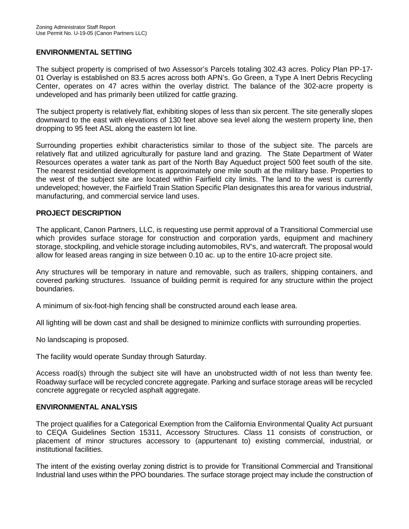#### **ENVIRONMENTAL SETTING**

The subject property is comprised of two Assessor's Parcels totaling 302.43 acres. Policy Plan PP-17- 01 Overlay is established on 83.5 acres across both APN's. Go Green, a Type A Inert Debris Recycling Center, operates on 47 acres within the overlay district. The balance of the 302-acre property is undeveloped and has primarily been utilized for cattle grazing.

The subject property is relatively flat, exhibiting slopes of less than six percent. The site generally slopes downward to the east with elevations of 130 feet above sea level along the western property line, then dropping to 95 feet ASL along the eastern lot line.

Surrounding properties exhibit characteristics similar to those of the subject site. The parcels are relatively flat and utilized agriculturally for pasture land and grazing. The State Department of Water Resources operates a water tank as part of the North Bay Aqueduct project 500 feet south of the site. The nearest residential development is approximately one mile south at the military base. Properties to the west of the subject site are located within Fairfield city limits. The land to the west is currently undeveloped; however, the Fairfield Train Station Specific Plan designates this area for various industrial, manufacturing, and commercial service land uses.

#### **PROJECT DESCRIPTION**

The applicant, Canon Partners, LLC, is requesting use permit approval of a Transitional Commercial use which provides surface storage for construction and corporation yards, equipment and machinery storage, stockpiling, and vehicle storage including automobiles, RV's, and watercraft. The proposal would allow for leased areas ranging in size between 0.10 ac. up to the entire 10-acre project site.

Any structures will be temporary in nature and removable, such as trailers, shipping containers, and covered parking structures. Issuance of building permit is required for any structure within the project boundaries.

A minimum of six-foot-high fencing shall be constructed around each lease area.

All lighting will be down cast and shall be designed to minimize conflicts with surrounding properties.

No landscaping is proposed.

The facility would operate Sunday through Saturday.

Access road(s) through the subject site will have an unobstructed width of not less than twenty fee. Roadway surface will be recycled concrete aggregate. Parking and surface storage areas will be recycled concrete aggregate or recycled asphalt aggregate.

#### **ENVIRONMENTAL ANALYSIS**

The project qualifies for a Categorical Exemption from the California Environmental Quality Act pursuant to CEQA Guidelines Section 15311, Accessory Structures. Class 11 consists of construction, or placement of minor structures accessory to (appurtenant to) existing commercial, industrial, or institutional facilities.

The intent of the existing overlay zoning district is to provide for Transitional Commercial and Transitional Industrial land uses within the PPO boundaries. The surface storage project may include the construction of